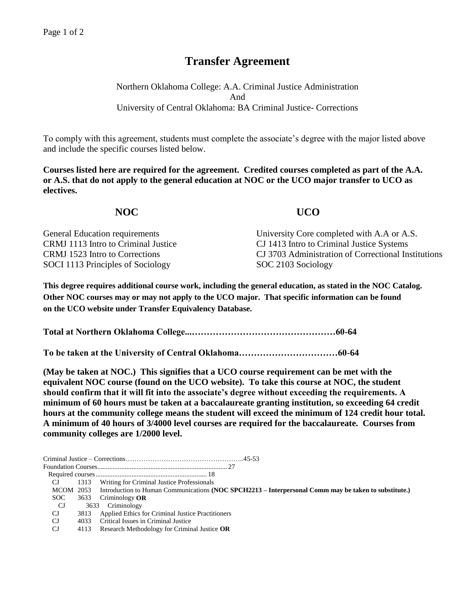## **Transfer Agreement**

Northern Oklahoma College: A.A. Criminal Justice Administration And University of Central Oklahoma: BA Criminal Justice- Corrections

To comply with this agreement, students must complete the associate's degree with the major listed above and include the specific courses listed below.

**Courses listed here are required for the agreement. Credited courses completed as part of the A.A. or A.S. that do not apply to the general education at NOC or the UCO major transfer to UCO as electives.**

**NOC UCO** 

| <b>General Education requirements</b> | University Core completed with A.A or A.S.          |
|---------------------------------------|-----------------------------------------------------|
| CRMJ 1113 Intro to Criminal Justice   | CJ 1413 Intro to Criminal Justice Systems           |
| CRMJ 1523 Intro to Corrections        | CJ 3703 Administration of Correctional Institutions |
| SOCI 1113 Principles of Sociology     | SOC 2103 Sociology                                  |

**This degree requires additional course work, including the general education, as stated in the NOC Catalog. Other NOC courses may or may not apply to the UCO major. That specific information can be found on the UCO website under Transfer Equivalency Database.**

**Total at Northern Oklahoma College...…………………………………………60-64**

**To be taken at the University of Central Oklahoma……………………………60-64**

**(May be taken at NOC.) This signifies that a UCO course requirement can be met with the equivalent NOC course (found on the UCO website). To take this course at NOC, the student should confirm that it will fit into the associate's degree without exceeding the requirements. A minimum of 60 hours must be taken at a baccalaureate granting institution, so exceeding 64 credit hours at the community college means the student will exceed the minimum of 124 credit hour total. A minimum of 40 hours of 3/4000 level courses are required for the baccalaureate. Courses from community colleges are 1/2000 level.**

| MCOM 2053 Introduction to Human Communications (NOC SPCH2213 – Interpersonal Comm may be taken to substitute.) |
|----------------------------------------------------------------------------------------------------------------|
|                                                                                                                |
|                                                                                                                |
|                                                                                                                |
|                                                                                                                |
|                                                                                                                |
|                                                                                                                |